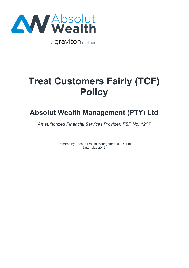

# **Treat Customers Fairly (TCF) Policy**

## **Absolut Wealth Management (PTY) Ltd**

*An authorized Financial Services Provider, FSP No. 1217*

Prepared by Absolut Wealth Management (PTY) Ltd Date: May 2015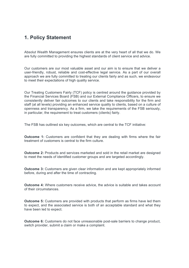#### **1. Policy Statement**

Absolut Wealth Management ensures clients are at the very heart of all that we do. We are fully committed to providing the highest standards of client service and advice.

Our customers are our most valuable asset and our aim is to ensure that we deliver a user-friendly, robust, reliable and cost-effective legal service. As a part of our overall approach we are fully committed to treating our clients fairly and as such, we endeavour to meet their expectations of high quality service.

Our Treating Customers Fairly (TCF) policy is centred around the guidance provided by the Financial Services Board (FSB) and our External Compliance Officers, to ensure we consistently deliver fair outcomes to our clients and take responsibility for the firm and staff (at all levels) providing an enhanced service quality to clients, based on a culture of openness and transparency. As a firm, we take the requirements of the FSB seriously, in particular, the requirement to treat customers (clients) fairly.

The FSB has outlined six key outcomes, which are central to the TCF initiative:

**Outcome 1:** Customers are confident that they are dealing with firms where the fair treatment of customers is central to the firm culture.

**Outcome 2:** Products and services marketed and sold in the retail market are designed to meet the needs of identified customer groups and are targeted accordingly.

**Outcome 3:** Customers are given clear information and are kept appropriately informed before, during and after the time of contracting.

**Outcome 4:** Where customers receive advice, the advice is suitable and takes account of their circumstances.

**Outcome 5:** Customers are provided with products that perform as firms have led them to expect, and the associated service is both of an acceptable standard and what they have been led to expect.

**Outcome 6:** Customers do not face unreasonable post-sale barriers to change product, switch provider, submit a claim or make a complaint.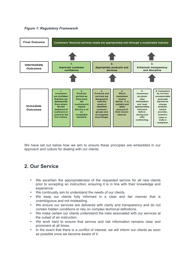

We have set out below how we aim to ensure these principles are embedded in our approach and culture for dealing with our clients.

#### **2. Our Service**

- We ascertain the appropriateness of the requested service for all new clients prior to accepting an instruction, ensuring it is in line with their knowledge and experience.
- We continually aim to understand the needs of our clients.
- We keep our clients fully informed in a clear and fair manner that is unambiguous and not misleading.
- We ensure our services are delivered with clarity and transparency and do not contain hidden conditions or rely on complex technical definitions.
- We make certain our clients understand the risks associated with our services at the outset of an instruction.
- We work hard to ensure that service and risk information remains clear and prominent at all times.
- In the event that there is a conflict of interest, we will inform our clients as soon as possible once we become aware of it.

#### *Figure 1: Regulatory Framework*